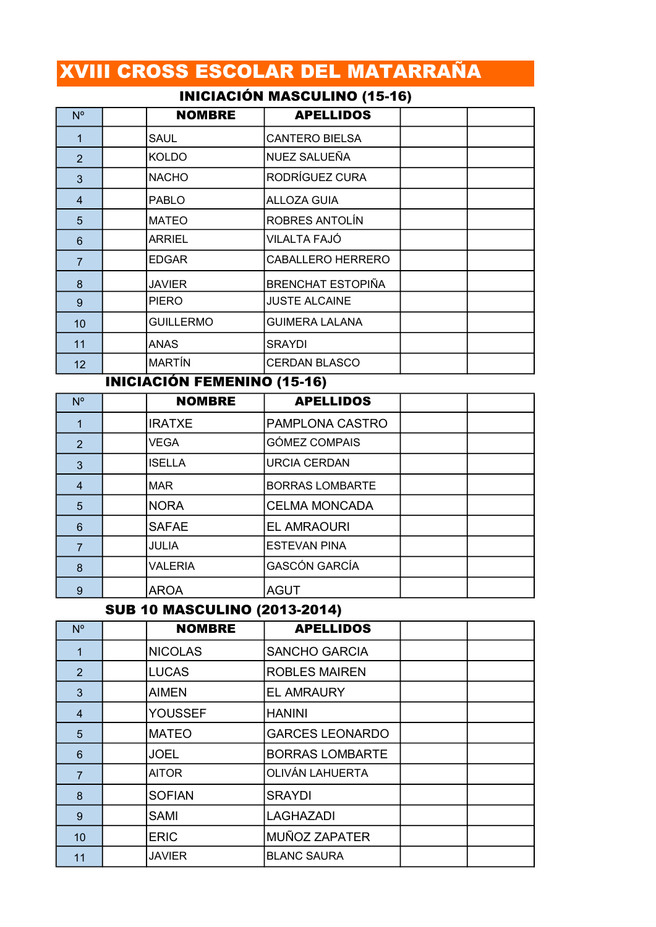# XVIII CROSS ESCOLAR DEL MATARRAÑA

# INICIACIÓN MASCULINO (15-16)

| $N^{\circ}$     | <b>NOMBRE</b>    | <b>APELLIDOS</b>         |  |
|-----------------|------------------|--------------------------|--|
| 1               | <b>SAUL</b>      | <b>CANTERO BIELSA</b>    |  |
| $\overline{2}$  | <b>KOLDO</b>     | NUEZ SALUEÑA             |  |
| 3               | <b>NACHO</b>     | <b>RODRÍGUEZ CURA</b>    |  |
| $\overline{4}$  | <b>PABLO</b>     | <b>ALLOZA GUIA</b>       |  |
| 5               | <b>MATEO</b>     | <b>ROBRES ANTOLÍN</b>    |  |
| 6               | ARRIEL           | VILALTA FAJÓ             |  |
| $\overline{7}$  | <b>EDGAR</b>     | CABALLERO HERRERO        |  |
| 8               | <b>JAVIER</b>    | <b>BRENCHAT ESTOPIÑA</b> |  |
| 9               | <b>PIERO</b>     | <b>JUSTE ALCAINE</b>     |  |
| 10 <sup>1</sup> | <b>GUILLERMO</b> | <b>GUIMERA LALANA</b>    |  |
| 11              | ANAS             | <b>SRAYDI</b>            |  |
| 12 <sup>2</sup> | <b>MARTÍN</b>    | CERDAN BLASCO            |  |

### INICIACIÓN FEMENINO (15-16)

| $N^{\circ}$    | <b>NOMBRE</b>  | <b>APELLIDOS</b>       |  |
|----------------|----------------|------------------------|--|
|                | <b>IRATXE</b>  | <b>PAMPLONA CASTRO</b> |  |
| 2              | <b>VEGA</b>    | <b>GÓMEZ COMPAIS</b>   |  |
| 3              | <b>ISELLA</b>  | <b>URCIA CERDAN</b>    |  |
| $\overline{4}$ | <b>MAR</b>     | <b>BORRAS LOMBARTE</b> |  |
| 5              | <b>NORA</b>    | <b>CELMA MONCADA</b>   |  |
| 6              | <b>SAFAE</b>   | <b>EL AMRAOURI</b>     |  |
| 7              | JULIA          | <b>ESTEVAN PINA</b>    |  |
| 8              | <b>VALERIA</b> | <b>GASCÓN GARCÍA</b>   |  |
| 9              | <b>AROA</b>    | <b>AGUT</b>            |  |

#### SUB 10 MASCULINO (2013-2014)

| $N^{\circ}$    | <b>NOMBRE</b>  | <b>APELLIDOS</b>       |  |
|----------------|----------------|------------------------|--|
| 1              | <b>NICOLAS</b> | <b>SANCHO GARCIA</b>   |  |
| $\overline{2}$ | <b>LUCAS</b>   | <b>ROBLES MAIREN</b>   |  |
| 3              | <b>AIMEN</b>   | <b>EL AMRAURY</b>      |  |
| 4              | <b>YOUSSEF</b> | <b>HANINI</b>          |  |
| 5              | <b>MATEO</b>   | <b>GARCES LEONARDO</b> |  |
| 6              | <b>JOEL</b>    | <b>BORRAS LOMBARTE</b> |  |
| $\overline{7}$ | <b>AITOR</b>   | OLIVÁN LAHUERTA        |  |
| 8              | <b>SOFIAN</b>  | <b>SRAYDI</b>          |  |
| 9              | <b>SAMI</b>    | <b>LAGHAZADI</b>       |  |
| 10             | <b>ERIC</b>    | <b>MUÑOZ ZAPATER</b>   |  |
| 11             | <b>JAVIER</b>  | <b>BLANC SAURA</b>     |  |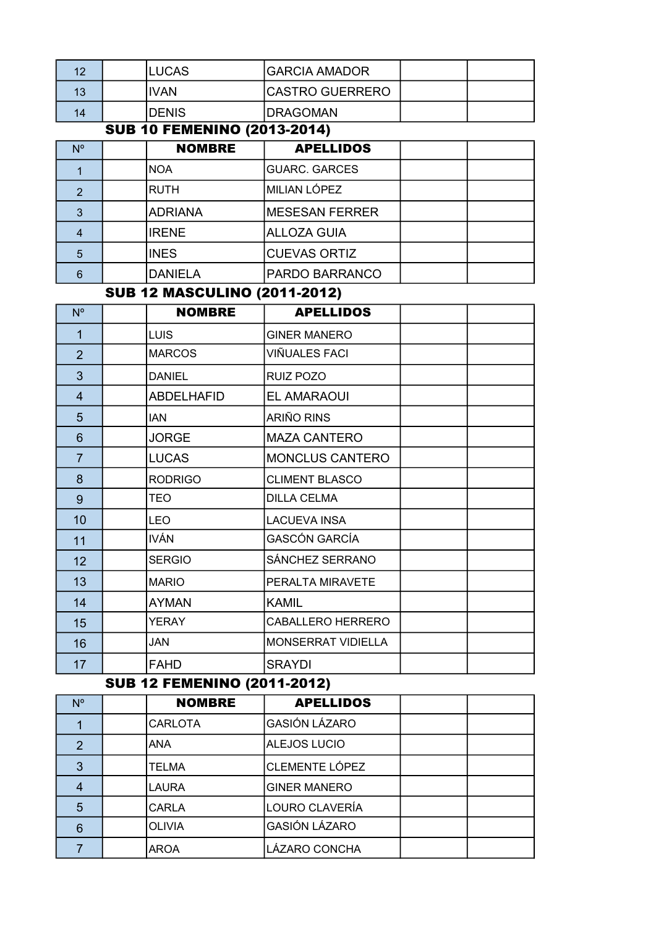| ィウ | <b>LUCAS</b>  | IGARCIA AMADOR         |  |
|----|---------------|------------------------|--|
| 13 | IIVAN         | <b>CASTRO GUERRERO</b> |  |
| 14 | <b>IDENIS</b> | <b>IDRAGOMAN</b>       |  |

### SUB 10 FEMENINO (2013-2014)

| $N^{\circ}$ | <b>NOMBRE</b>  | <b>APELLIDOS</b>       |  |
|-------------|----------------|------------------------|--|
|             | <b>NOA</b>     | <b>GUARC. GARCES</b>   |  |
| 2           | <b>RUTH</b>    | MILIAN LÓPEZ           |  |
| 3           | <b>ADRIANA</b> | <b>IMESESAN FERRER</b> |  |
|             | <b>IRENE</b>   | <b>ALLOZA GUIA</b>     |  |
| 5           | <b>INES</b>    | <b>CUEVAS ORTIZ</b>    |  |
|             | <b>DANIELA</b> | <b>PARDO BARRANCO</b>  |  |

### SUB 12 MASCULINO (2011-2012)

| $N^{\circ}$    | <b>NOMBRE</b>     | <b>APELLIDOS</b>          |  |
|----------------|-------------------|---------------------------|--|
| $\mathbf{1}$   | <b>LUIS</b>       | <b>GINER MANERO</b>       |  |
| $\overline{2}$ | <b>MARCOS</b>     | VIÑUALES FACI             |  |
| 3              | <b>DANIEL</b>     | RUIZ POZO                 |  |
| $\overline{4}$ | <b>ABDELHAFID</b> | <b>EL AMARAOUI</b>        |  |
| 5              | <b>IAN</b>        | ARIÑO RINS                |  |
| 6              | <b>JORGE</b>      | <b>MAZA CANTERO</b>       |  |
| $\overline{7}$ | <b>LUCAS</b>      | <b>MONCLUS CANTERO</b>    |  |
| 8              | <b>RODRIGO</b>    | <b>CLIMENT BLASCO</b>     |  |
| 9              | TEO               | <b>DILLA CELMA</b>        |  |
| 10             | <b>LEO</b>        | <b>LACUEVA INSA</b>       |  |
| 11             | <b>IVÁN</b>       | <b>GASCÓN GARCÍA</b>      |  |
| 12             | <b>SERGIO</b>     | SÁNCHEZ SERRANO           |  |
| 13             | <b>MARIO</b>      | PERALTA MIRAVETE          |  |
| 14             | <b>AYMAN</b>      | <b>KAMIL</b>              |  |
| 15             | <b>YERAY</b>      | <b>CABALLERO HERRERO</b>  |  |
| 16             | JAN               | <b>MONSERRAT VIDIELLA</b> |  |
| 17             | <b>FAHD</b>       | <b>SRAYDI</b>             |  |

#### SUB 12 FEMENINO (2011-2012)

| $N^{\circ}$    |  | <b>NOMBRE</b>  | <b>APELLIDOS</b>     |  |  |
|----------------|--|----------------|----------------------|--|--|
|                |  | <b>CARLOTA</b> | <b>GASIÓN LÁZARO</b> |  |  |
| $\overline{2}$ |  | <b>ANA</b>     | <b>ALEJOS LUCIO</b>  |  |  |
| 3              |  | <b>TELMA</b>   | CLEMENTE LÓPEZ       |  |  |
|                |  | <b>LAURA</b>   | <b>GINER MANERO</b>  |  |  |
| 5              |  | <b>CARLA</b>   | LOURO CLAVERÍA       |  |  |
| 6              |  | <b>OLIVIA</b>  | <b>GASIÓN LÁZARO</b> |  |  |
|                |  | AROA           | LÁZARO CONCHA        |  |  |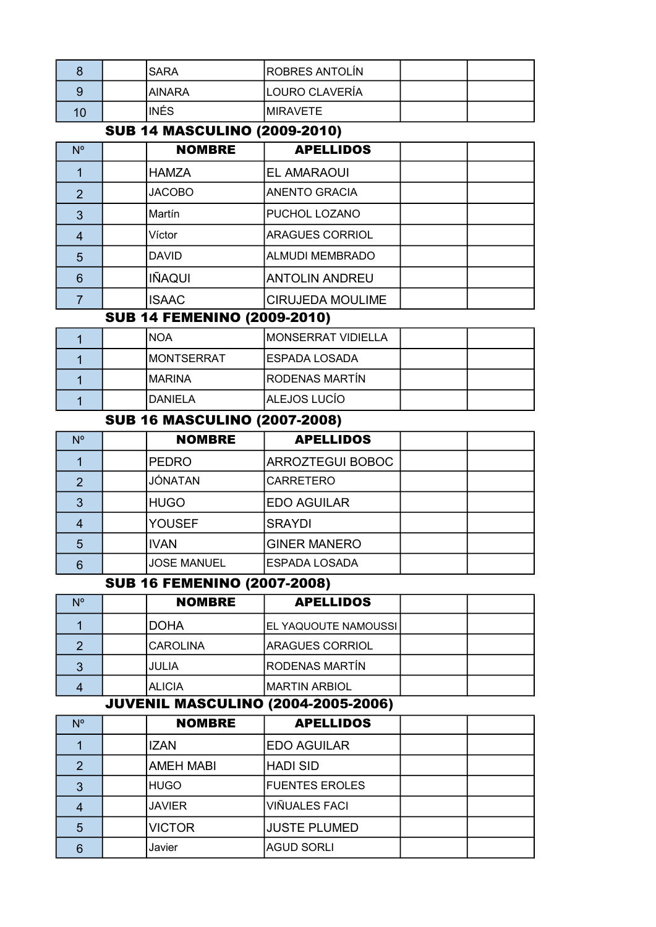|  | <b><i>SARA</i></b> | <b>ROBRES ANTOLÍN</b> |  |
|--|--------------------|-----------------------|--|
|  | IAINARA            | LOURO CLAVERÍA        |  |
|  | INÉS               | IMIRAVETE             |  |

# SUB 14 MASCULINO (2009-2010)

| $N^{\circ}$    | <b>NOMBRE</b> | <b>APELLIDOS</b>        |  |
|----------------|---------------|-------------------------|--|
|                | <b>HAMZA</b>  | EL AMARAOUI             |  |
| $\overline{2}$ | <b>JACOBO</b> | <b>ANENTO GRACIA</b>    |  |
| 3              | Martín        | PUCHOL LOZANO           |  |
|                | Víctor        | <b>ARAGUES CORRIOL</b>  |  |
| 5              | <b>DAVID</b>  | <b>ALMUDI MEMBRADO</b>  |  |
| 6              | <b>IÑAQUI</b> | <b>ANTOLIN ANDREU</b>   |  |
|                | <b>ISAAC</b>  | <b>CIRUJEDA MOULIME</b> |  |

#### SUB 14 FEMENINO (2009-2010)

|  | INOA               | <b>IMONSERRAT VIDIELLA</b> |  |
|--|--------------------|----------------------------|--|
|  | <b>IMONTSERRAT</b> | IESPADA LOSADA             |  |
|  | IMARINA            | <b>IRODENAS MARTÍN</b>     |  |
|  | IDANIELA           | <b>ALEJOS LUCÍO</b>        |  |

## SUB 16 MASCULINO (2007-2008)

| N <sub>o</sub> | <b>NOMBRE</b>      | <b>APELLIDOS</b>        |  |
|----------------|--------------------|-------------------------|--|
|                | <b>PEDRO</b>       | <b>ARROZTEGUI BOBOC</b> |  |
| າ              | JÓNATAN            | <b>CARRETERO</b>        |  |
|                | <b>HUGO</b>        | <b>EDO AGUILAR</b>      |  |
|                | <b>YOUSEF</b>      | <b>SRAYDI</b>           |  |
| 5              | <b>IVAN</b>        | <b>GINER MANERO</b>     |  |
|                | <b>JOSE MANUEL</b> | <b>ESPADA LOSADA</b>    |  |

### SUB 16 FEMENINO (2007-2008)

| Ν° | <b>NOMBRE</b> | <b>APELLIDOS</b>      |  |
|----|---------------|-----------------------|--|
|    | DOHA          | EL YAQUOUTE NAMOUSSI  |  |
|    | CAROLINA      | IARAGUES CORRIOL      |  |
| 3  | <b>JULIA</b>  | <b>RODENAS MARTÍN</b> |  |
|    | <b>ALICIA</b> | <b>IMARTIN ARBIOL</b> |  |

#### JUVENIL MASCULINO (2004-2005-2006)

| N° | <b>NOMBRE</b>    | <b>APELLIDOS</b>      |  |
|----|------------------|-----------------------|--|
|    | <b>IZAN</b>      | <b>EDO AGUILAR</b>    |  |
| 2  | <b>AMEH MABI</b> | <b>HADI SID</b>       |  |
| 3  | <b>HUGO</b>      | <b>FUENTES EROLES</b> |  |
|    | <b>JAVIER</b>    | VIÑUALES FACI         |  |
| 5  | <b>VICTOR</b>    | <b>JUSTE PLUMED</b>   |  |
|    | Javier           | <b>AGUD SORLI</b>     |  |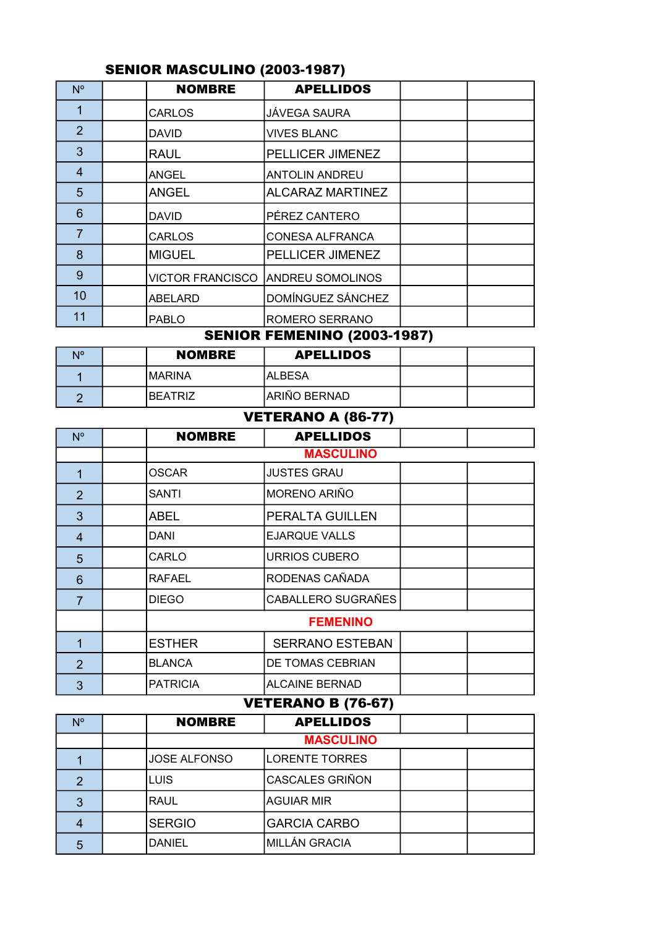|                | <u>.</u> |                         |                         |  |  |  |
|----------------|----------|-------------------------|-------------------------|--|--|--|
| $N^{\circ}$    |          | <b>NOMBRE</b>           | <b>APELLIDOS</b>        |  |  |  |
|                |          | <b>CARLOS</b>           | <b>JÁVEGA SAURA</b>     |  |  |  |
| $\overline{2}$ |          | <b>DAVID</b>            | <b>VIVES BLANC</b>      |  |  |  |
| 3              |          | <b>RAUL</b>             | PELLICER JIMENEZ        |  |  |  |
| 4              |          | <b>ANGEL</b>            | <b>ANTOLIN ANDREU</b>   |  |  |  |
| 5              |          | <b>ANGEL</b>            | <b>ALCARAZ MARTINEZ</b> |  |  |  |
| 6              |          | <b>DAVID</b>            | PÉREZ CANTERO           |  |  |  |
| 7              |          | <b>CARLOS</b>           | <b>CONESA ALFRANCA</b>  |  |  |  |
| 8              |          | <b>MIGUEL</b>           | PELLICER JIMENEZ        |  |  |  |
| 9              |          | <b>VICTOR FRANCISCO</b> | <b>ANDREU SOMOLINOS</b> |  |  |  |
| 10             |          | ABELARD                 | DOMÍNGUEZ SÁNCHEZ       |  |  |  |
| 11             |          | <b>PABLO</b>            | <b>ROMERO SERRANO</b>   |  |  |  |

### SENIOR MASCULINO (2003-1987)

# SENIOR FEMENINO (2003-1987)

| <b>N<sub>o</sub></b> | <b>NOMBRE</b> | <b>APELLIDOS</b> |  |
|----------------------|---------------|------------------|--|
|                      | IMARINA       | IALBESA          |  |
|                      | IBEATRIZ      | ARIÑO BERNAD     |  |

### VETERANO A (86-77)

| $N^{\circ}$    |               | <b>NOMBRE</b>    | <b>APELLIDOS</b>       |  |  |  |
|----------------|---------------|------------------|------------------------|--|--|--|
|                |               | <b>MASCULINO</b> |                        |  |  |  |
|                | OSCAR         |                  | <b>JUSTES GRAU</b>     |  |  |  |
| $\overline{2}$ | SANTI         |                  | <b>MORENO ARIÑO</b>    |  |  |  |
| 3              | <b>ABEL</b>   |                  | PERALTA GUILLEN        |  |  |  |
| 4              | DANI          |                  | <b>EJARQUE VALLS</b>   |  |  |  |
| 5              | CARLO         |                  | URRIOS CUBERO          |  |  |  |
| 6              | <b>RAFAEL</b> |                  | RODENAS CAÑADA         |  |  |  |
| $\overline{7}$ | <b>DIEGO</b>  |                  | CABALLERO SUGRAÑES     |  |  |  |
|                |               | <b>FEMENINO</b>  |                        |  |  |  |
|                |               | <b>ESTHER</b>    | <b>SERRANO ESTEBAN</b> |  |  |  |
| $\mathcal{P}$  |               | <b>BLANCA</b>    | DE TOMAS CEBRIAN       |  |  |  |
| 3              |               | <b>PATRICIA</b>  | <b>ALCAINE BERNAD</b>  |  |  |  |

## VETERANO B (76-67)

| Ν° | <b>NOMBRE</b>       | <b>APELLIDOS</b>    |  |  |  |  |
|----|---------------------|---------------------|--|--|--|--|
|    |                     | <b>MASCULINO</b>    |  |  |  |  |
|    | <b>JOSE ALFONSO</b> | LORENTE TORRES      |  |  |  |  |
|    | <b>LUIS</b>         | CASCALES GRIÑON     |  |  |  |  |
| 3  | <b>RAUL</b>         | AGUIAR MIR          |  |  |  |  |
|    | <b>SERGIO</b>       | <b>GARCIA CARBO</b> |  |  |  |  |
| 5  | <b>DANIEL</b>       | IMILLÁN GRACIA      |  |  |  |  |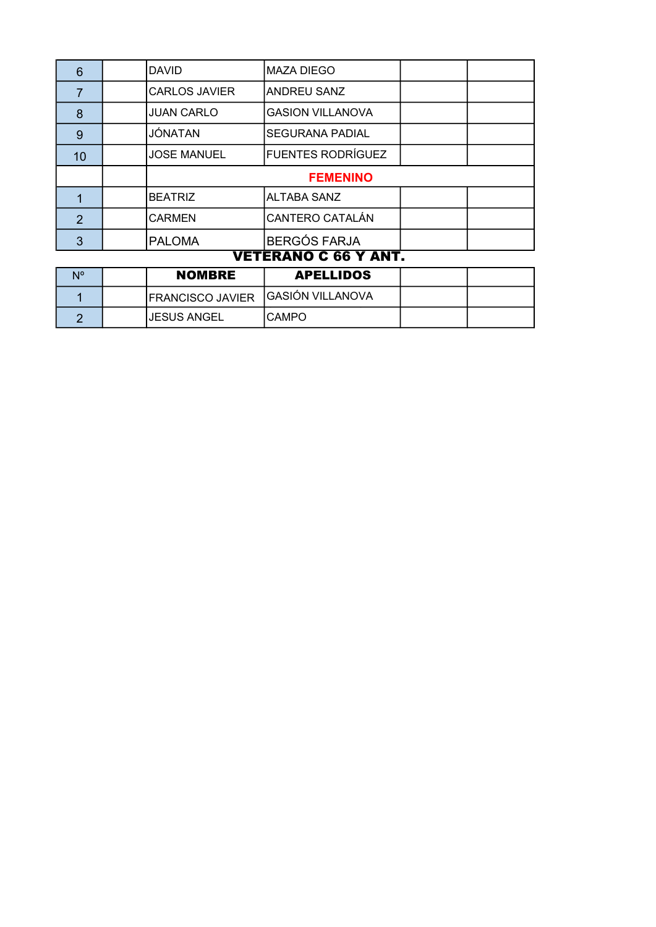| 6                   |  | <b>DAVID</b>         | MAZA DIEGO               |  |  |  |
|---------------------|--|----------------------|--------------------------|--|--|--|
|                     |  | <b>CARLOS JAVIER</b> | ANDREU SANZ              |  |  |  |
| 8                   |  | <b>JUAN CARLO</b>    | <b>GASION VILLANOVA</b>  |  |  |  |
| 9                   |  | JÓNATAN              | <b>SEGURANA PADIAL</b>   |  |  |  |
| 10                  |  | <b>JOSE MANUEL</b>   | <b>FUENTES RODRÍGUEZ</b> |  |  |  |
|                     |  | <b>FEMENINO</b>      |                          |  |  |  |
|                     |  | <b>BEATRIZ</b>       | <b>ALTABA SANZ</b>       |  |  |  |
| $\mathfrak{p}$      |  | <b>CARMEN</b>        | <b>CANTERO CATALÁN</b>   |  |  |  |
| 3                   |  | <b>PALOMA</b>        | <b>BERGÓS FARJA</b>      |  |  |  |
| VETEBANA A GC V ANT |  |                      |                          |  |  |  |

#### **VETERANO C 66 Y ANT.**

| <b>N<sub>o</sub></b> | <b>NOMBRE</b>                      | <b>APELLIDOS</b> |  |
|----------------------|------------------------------------|------------------|--|
|                      | IFRANCISCO JAVIER GASIÓN VILLANOVA |                  |  |
|                      | IJESUS ANGEL                       | ICAMPO           |  |